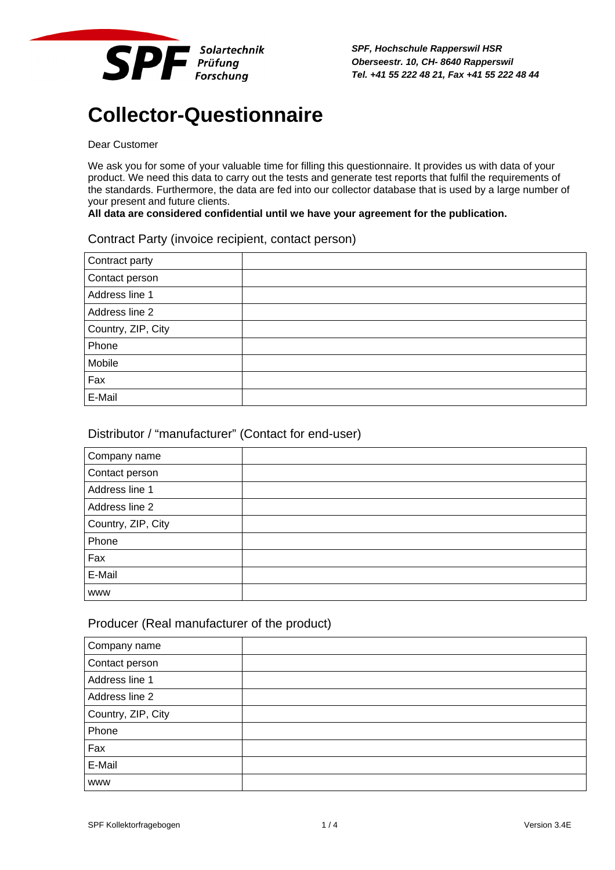

*SPF, Hochschule Rapperswil HSR Oberseestr. 10, CH- 8640 Rapperswil Tel. +41 55 222 48 21, Fax +41 55 222 48 44*

# **Collector-Questionnaire**

## Dear Customer

We ask you for some of your valuable time for filling this questionnaire. It provides us with data of your product. We need this data to carry out the tests and generate test reports that fulfil the requirements of the standards. Furthermore, the data are fed into our collector database that is used by a large number of your present and future clients.

#### **All data are considered confidential until we have your agreement for the publication.**

#### Contract Party (invoice recipient, contact person)

| Contract party     |  |
|--------------------|--|
| Contact person     |  |
| Address line 1     |  |
| Address line 2     |  |
| Country, ZIP, City |  |
| Phone              |  |
| Mobile             |  |
| Fax                |  |
| E-Mail             |  |

#### Distributor / "manufacturer" (Contact for end-user)

| Company name       |  |
|--------------------|--|
| Contact person     |  |
| Address line 1     |  |
| Address line 2     |  |
| Country, ZIP, City |  |
| Phone              |  |
| Fax                |  |
| E-Mail             |  |
| <b>WWW</b>         |  |

#### Producer (Real manufacturer of the product)

| Company name       |  |
|--------------------|--|
| Contact person     |  |
| Address line 1     |  |
| Address line 2     |  |
| Country, ZIP, City |  |
| Phone              |  |
| Fax                |  |
| E-Mail             |  |
| <b>WWW</b>         |  |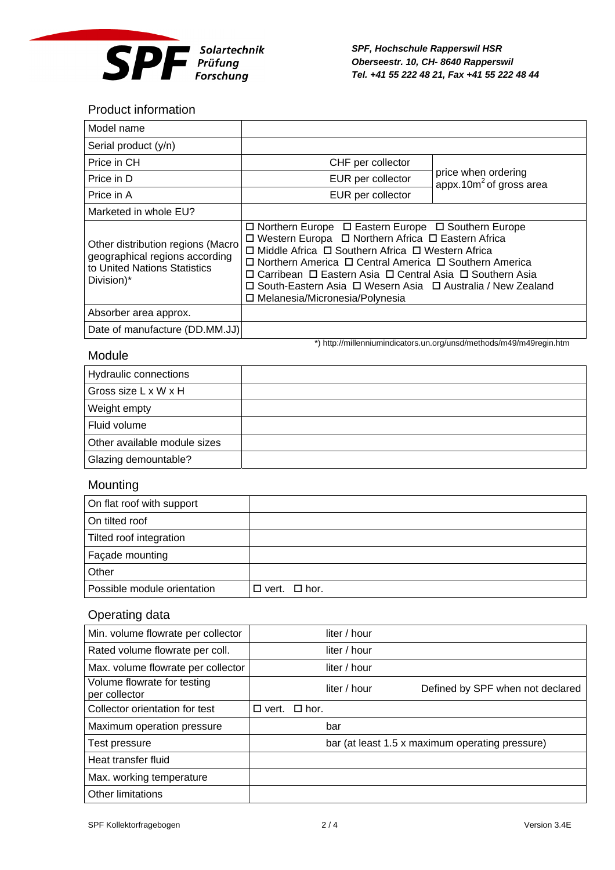

*SPF, Hochschule Rapperswil HSR Oberseestr. 10, CH- 8640 Rapperswil Tel. +41 55 222 48 21, Fax +41 55 222 48 44*

\*) http://millenniumindicators.un.org/unsd/methods/m49/m49regin.htm

## Product information

| Model name                                                                                                        |                                                                                                                                                                                                                                                                                                                                                                                                                                            |                                                   |
|-------------------------------------------------------------------------------------------------------------------|--------------------------------------------------------------------------------------------------------------------------------------------------------------------------------------------------------------------------------------------------------------------------------------------------------------------------------------------------------------------------------------------------------------------------------------------|---------------------------------------------------|
| Serial product (y/n)                                                                                              |                                                                                                                                                                                                                                                                                                                                                                                                                                            |                                                   |
| Price in CH                                                                                                       | CHF per collector                                                                                                                                                                                                                                                                                                                                                                                                                          |                                                   |
| Price in D                                                                                                        | EUR per collector                                                                                                                                                                                                                                                                                                                                                                                                                          | price when ordering<br>appx.10 $m2$ of gross area |
| Price in A                                                                                                        | EUR per collector                                                                                                                                                                                                                                                                                                                                                                                                                          |                                                   |
| Marketed in whole EU?                                                                                             |                                                                                                                                                                                                                                                                                                                                                                                                                                            |                                                   |
| Other distribution regions (Macro<br>geographical regions according<br>to United Nations Statistics<br>Division)* | $\Box$ Northern Europe $\Box$ Eastern Europe $\Box$ Southern Europe<br>□ Western Europa □ Northern Africa □ Eastern Africa<br>□ Middle Africa □ Southern Africa □ Western Africa<br>$\Box$ Northern America $\Box$ Central America $\Box$ Southern America<br>ロ Carribean ロ Eastern Asia ロ Central Asia ロ Southern Asia<br>$\Box$ South-Eastern Asia $\Box$ Wesern Asia $\Box$ Australia / New Zealand<br>□ Melanesia/Micronesia/Polynesia |                                                   |
| Absorber area approx.                                                                                             |                                                                                                                                                                                                                                                                                                                                                                                                                                            |                                                   |
| Date of manufacture (DD.MM.JJ)                                                                                    |                                                                                                                                                                                                                                                                                                                                                                                                                                            |                                                   |

### Module

| Hydraulic connections        |  |
|------------------------------|--|
| Gross size L x W x H         |  |
| Weight empty                 |  |
| Fluid volume                 |  |
| Other available module sizes |  |
| Glazing demountable?         |  |

## Mounting

| On flat roof with support   |                          |
|-----------------------------|--------------------------|
| On tilted roof              |                          |
| Tilted roof integration     |                          |
| Façade mounting             |                          |
| Other                       |                          |
| Possible module orientation | $\Box$ vert. $\Box$ hor. |

## Operating data

| Min. volume flowrate per collector           |                 |             | liter / hour |                                                 |
|----------------------------------------------|-----------------|-------------|--------------|-------------------------------------------------|
| Rated volume flowrate per coll.              |                 |             | liter / hour |                                                 |
| Max. volume flowrate per collector           |                 |             | liter / hour |                                                 |
| Volume flowrate for testing<br>per collector |                 |             | liter / hour | Defined by SPF when not declared                |
| Collector orientation for test               | $\square$ vert. | $\Box$ hor. |              |                                                 |
| Maximum operation pressure                   |                 |             | bar          |                                                 |
| Test pressure                                |                 |             |              | bar (at least 1.5 x maximum operating pressure) |
| Heat transfer fluid                          |                 |             |              |                                                 |
| Max. working temperature                     |                 |             |              |                                                 |
| Other limitations                            |                 |             |              |                                                 |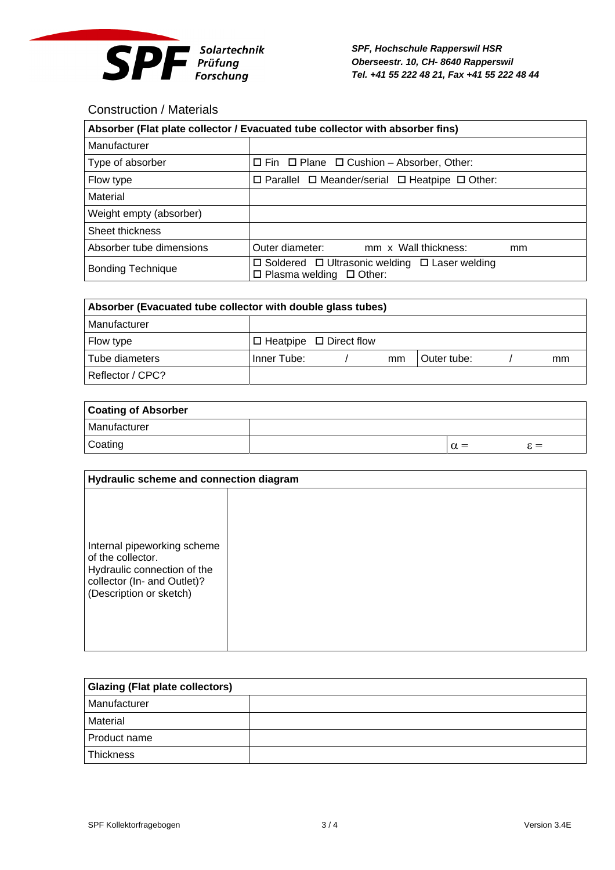

*SPF, Hochschule Rapperswil HSR Oberseestr. 10, CH- 8640 Rapperswil Tel. +41 55 222 48 21, Fax +41 55 222 48 44*

## Construction / Materials

| Absorber (Flat plate collector / Evacuated tube collector with absorber fins) |                                                                                                       |  |
|-------------------------------------------------------------------------------|-------------------------------------------------------------------------------------------------------|--|
| Manufacturer                                                                  |                                                                                                       |  |
| Type of absorber                                                              | $\Box$ Fin $\Box$ Plane $\Box$ Cushion – Absorber, Other:                                             |  |
| Flow type                                                                     | $\Box$ Parallel $\Box$ Meander/serial $\Box$ Heatpipe $\Box$ Other:                                   |  |
| Material                                                                      |                                                                                                       |  |
| Weight empty (absorber)                                                       |                                                                                                       |  |
| Sheet thickness                                                               |                                                                                                       |  |
| Absorber tube dimensions                                                      | Outer diameter:<br>mm x Wall thickness:<br>mm                                                         |  |
| <b>Bonding Technique</b>                                                      | $\Box$ Soldered $\Box$ Ultrasonic welding $\Box$ Laser welding<br>$\Box$ Plasma welding $\Box$ Other: |  |

| Absorber (Evacuated tube collector with double glass tubes) |             |                                    |    |             |    |
|-------------------------------------------------------------|-------------|------------------------------------|----|-------------|----|
| Manufacturer                                                |             |                                    |    |             |    |
| Flow type                                                   |             | $\Box$ Heatpipe $\Box$ Direct flow |    |             |    |
| Tube diameters                                              | Inner Tube: |                                    | mm | Outer tube: | mm |
| Reflector / CPC?                                            |             |                                    |    |             |    |

| <b>Coating of Absorber</b> |  |            |                 |
|----------------------------|--|------------|-----------------|
| Manufacturer               |  |            |                 |
| Coating                    |  | $\alpha =$ | $\varepsilon =$ |

| Hydraulic scheme and connection diagram                                                                                                   |  |  |
|-------------------------------------------------------------------------------------------------------------------------------------------|--|--|
| Internal pipeworking scheme<br>of the collector.<br>Hydraulic connection of the<br>collector (In- and Outlet)?<br>(Description or sketch) |  |  |

| <b>Glazing (Flat plate collectors)</b> |  |  |
|----------------------------------------|--|--|
| Manufacturer                           |  |  |
| Material                               |  |  |
| Product name                           |  |  |
| <b>Thickness</b>                       |  |  |